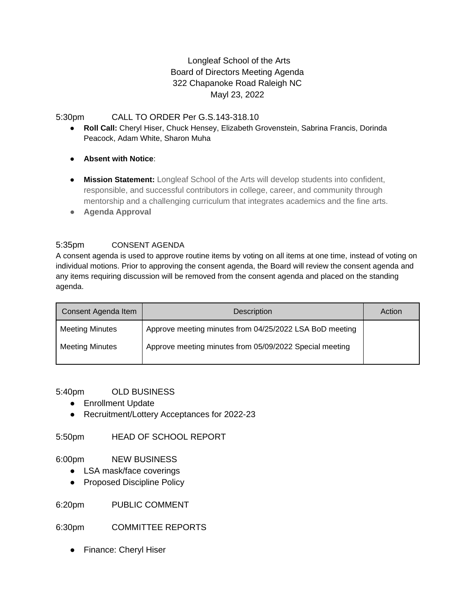# Longleaf School of the Arts Board of Directors Meeting Agenda 322 Chapanoke Road Raleigh NC Mayl 23, 2022

# 5:30pm CALL TO ORDER Per G.S.143-318.10

- **Roll Call:** Cheryl Hiser, Chuck Hensey, Elizabeth Grovenstein, Sabrina Francis, Dorinda Peacock, Adam White, Sharon Muha
- **Absent with Notice**:
- **Mission Statement:** Longleaf School of the Arts will develop students into confident, responsible, and successful contributors in college, career, and community through mentorship and a challenging curriculum that integrates academics and the fine arts.
- **Agenda Approval**

# 5:35pm CONSENT AGENDA

A consent agenda is used to approve routine items by voting on all items at one time, instead of voting on individual motions. Prior to approving the consent agenda, the Board will review the consent agenda and any items requiring discussion will be removed from the consent agenda and placed on the standing agenda.

| Consent Agenda Item    | <b>Description</b>                                      | Action |
|------------------------|---------------------------------------------------------|--------|
| <b>Meeting Minutes</b> | Approve meeting minutes from 04/25/2022 LSA BoD meeting |        |
| <b>Meeting Minutes</b> | Approve meeting minutes from 05/09/2022 Special meeting |        |

### 5:40pm OLD BUSINESS

- Enrollment Update
- Recruitment/Lottery Acceptances for 2022-23

5:50pm HEAD OF SCHOOL REPORT

### 6:00pm NEW BUSINESS

- LSA mask/face coverings
- Proposed Discipline Policy

6:20pm PUBLIC COMMENT

6:30pm COMMITTEE REPORTS

● Finance: Cheryl Hiser